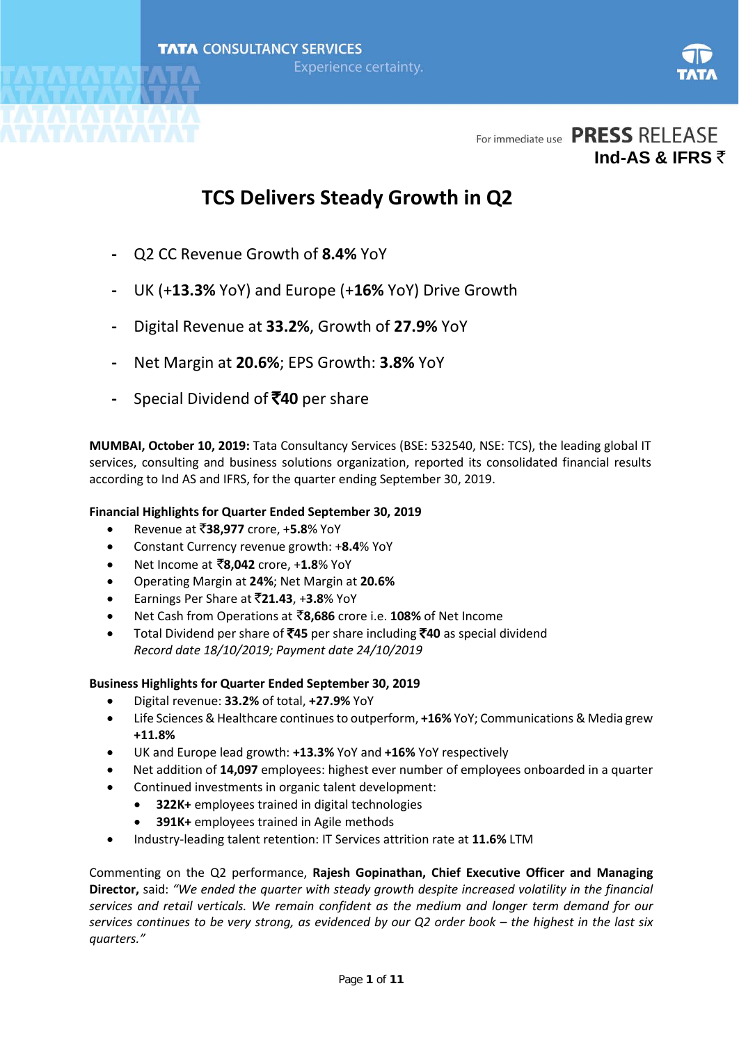

# **TCS Delivers Steady Growth in Q2**

- **-** Q2 CC Revenue Growth of **8.4%** YoY
- **-** UK (+**13.3%** YoY) and Europe (+**16%** YoY) Drive Growth
- **-** Digital Revenue at **33.2%**, Growth of **27.9%** YoY
- **-** Net Margin at **20.6%**; EPS Growth: **3.8%** YoY
- **-** Special Dividend of `**40** per share

**MUMBAI, October 10, 2019:** Tata Consultancy Services (BSE: 532540, NSE: TCS), the leading global IT services, consulting and business solutions organization, reported its consolidated financial results according to Ind AS and IFRS, for the quarter ending September 30, 2019.

### **Financial Highlights for Quarter Ended September 30, 2019**

- Revenue at `**38,977** crore, +**5.8**% YoY
- Constant Currency revenue growth: +**8.4**% YoY
- Net Income at `**8,042** crore, +**1.8**% YoY
- Operating Margin at **24%**; Net Margin at **20.6%**
- Earnings Per Share at `**21.43**, +**3.8**% YoY
- Net Cash from Operations at `**8,686** crore i.e. **108%** of Net Income
- Total Dividend per share of `**45** per share including `**40** as special dividend *Record date 18/10/2019; Payment date 24/10/2019*

### **Business Highlights for Quarter Ended September 30, 2019**

- Digital revenue: **33.2%** of total, **+27.9%** YoY
- Life Sciences & Healthcare continues to outperform, **+16%** YoY; Communications & Media grew **+11.8%**
- UK and Europe lead growth: **+13.3%** YoY and **+16%** YoY respectively
- Net addition of **14,097** employees: highest ever number of employees onboarded in a quarter
- Continued investments in organic talent development:
	- **322K+** employees trained in digital technologies
	- **391K+** employees trained in Agile methods
- Industry-leading talent retention: IT Services attrition rate at **11.6%** LTM

Commenting on the Q2 performance, **Rajesh Gopinathan, Chief Executive Officer and Managing Director,** said: *"We ended the quarter with steady growth despite increased volatility in the financial services and retail verticals. We remain confident as the medium and longer term demand for our services continues to be very strong, as evidenced by our Q2 order book – the highest in the last six quarters."*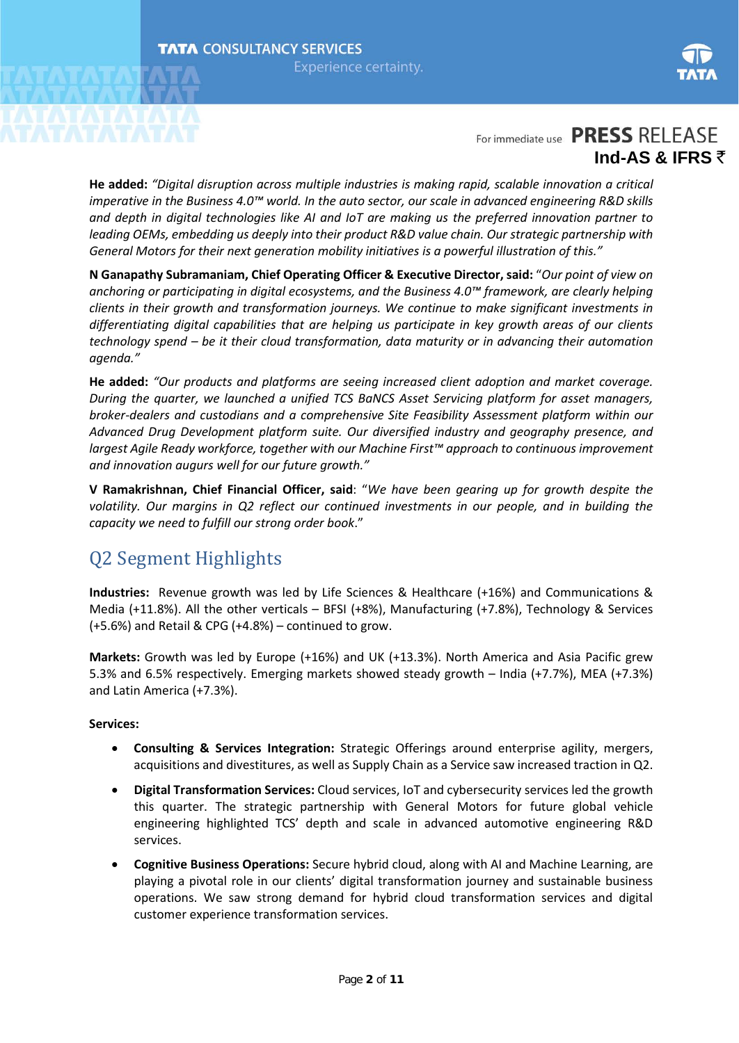

**He added:** *"Digital disruption across multiple industries is making rapid, scalable innovation a critical imperative in the Business 4.0™ world. In the auto sector, our scale in advanced engineering R&D skills and depth in digital technologies like AI and IoT are making us the preferred innovation partner to leading OEMs, embedding us deeply into their product R&D value chain. Our strategic partnership with General Motors for their next generation mobility initiatives is a powerful illustration of this."* 

**N Ganapathy Subramaniam, Chief Operating Officer & Executive Director, said:** "*Our point of view on anchoring or participating in digital ecosystems, and the Business 4.0™ framework, are clearly helping clients in their growth and transformation journeys. We continue to make significant investments in differentiating digital capabilities that are helping us participate in key growth areas of our clients technology spend – be it their cloud transformation, data maturity or in advancing their automation agenda."* 

**He added:** *"Our products and platforms are seeing increased client adoption and market coverage. During the quarter, we launched a unified TCS BaNCS Asset Servicing platform for asset managers, broker-dealers and custodians and a comprehensive Site Feasibility Assessment platform within our Advanced Drug Development platform suite. Our diversified industry and geography presence, and largest Agile Ready workforce, together with our Machine First™ approach to continuous improvement and innovation augurs well for our future growth."*

**V Ramakrishnan, Chief Financial Officer, said**: "*We have been gearing up for growth despite the volatility. Our margins in Q2 reflect our continued investments in our people, and in building the capacity we need to fulfill our strong order book*."

# Q2 Segment Highlights

**Industries:** Revenue growth was led by Life Sciences & Healthcare (+16%) and Communications & Media (+11.8%). All the other verticals – BFSI (+8%), Manufacturing (+7.8%), Technology & Services (+5.6%) and Retail & CPG (+4.8%) – continued to grow.

**Markets:** Growth was led by Europe (+16%) and UK (+13.3%). North America and Asia Pacific grew 5.3% and 6.5% respectively. Emerging markets showed steady growth – India (+7.7%), MEA (+7.3%) and Latin America (+7.3%).

### **Services:**

- **Consulting & Services Integration:** Strategic Offerings around enterprise agility, mergers, acquisitions and divestitures, as well as Supply Chain as a Service saw increased traction in Q2.
- **Digital Transformation Services:** Cloud services, IoT and cybersecurity services led the growth this quarter. The strategic partnership with General Motors for future global vehicle engineering highlighted TCS' depth and scale in advanced automotive engineering R&D services.
- **Cognitive Business Operations:** Secure hybrid cloud, along with AI and Machine Learning, are playing a pivotal role in our clients' digital transformation journey and sustainable business operations. We saw strong demand for hybrid cloud transformation services and digital customer experience transformation services.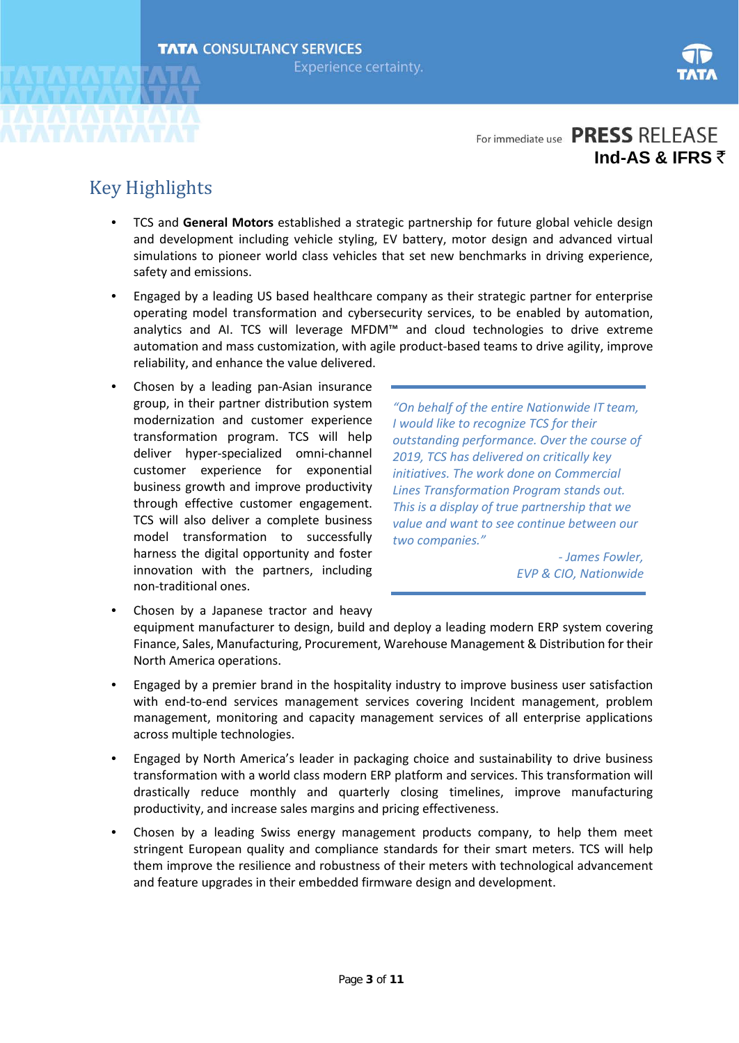

# Key Highlights

- TCS and **General Motors** established a strategic partnership for future global vehicle design and development including vehicle styling, EV battery, motor design and advanced virtual simulations to pioneer world class vehicles that set new benchmarks in driving experience, safety and emissions.
- Engaged by a leading US based healthcare company as their strategic partner for enterprise operating model transformation and cybersecurity services, to be enabled by automation, analytics and AI. TCS will leverage MFDM™ and cloud technologies to drive extreme automation and mass customization, with agile product-based teams to drive agility, improve reliability, and enhance the value delivered.
- Chosen by a leading pan-Asian insurance group, in their partner distribution system modernization and customer experience transformation program. TCS will help deliver hyper-specialized omni-channel customer experience for exponential business growth and improve productivity through effective customer engagement. TCS will also deliver a complete business model transformation to successfully harness the digital opportunity and foster innovation with the partners, including non-traditional ones.

*"On behalf of the entire Nationwide IT team, I would like to recognize TCS for their outstanding performance. Over the course of 2019, TCS has delivered on critically key initiatives. The work done on Commercial Lines Transformation Program stands out. This is a display of true partnership that we value and want to see continue between our two companies."*

> *- James Fowler, EVP & CIO, Nationwide*

- Chosen by a Japanese tractor and heavy equipment manufacturer to design, build and deploy a leading modern ERP system covering Finance, Sales, Manufacturing, Procurement, Warehouse Management & Distribution for their North America operations.
- Engaged by a premier brand in the hospitality industry to improve business user satisfaction with end-to-end services management services covering Incident management, problem management, monitoring and capacity management services of all enterprise applications across multiple technologies.
- Engaged by North America's leader in packaging choice and sustainability to drive business transformation with a world class modern ERP platform and services. This transformation will drastically reduce monthly and quarterly closing timelines, improve manufacturing productivity, and increase sales margins and pricing effectiveness.
- Chosen by a leading Swiss energy management products company, to help them meet stringent European quality and compliance standards for their smart meters. TCS will help them improve the resilience and robustness of their meters with technological advancement and feature upgrades in their embedded firmware design and development.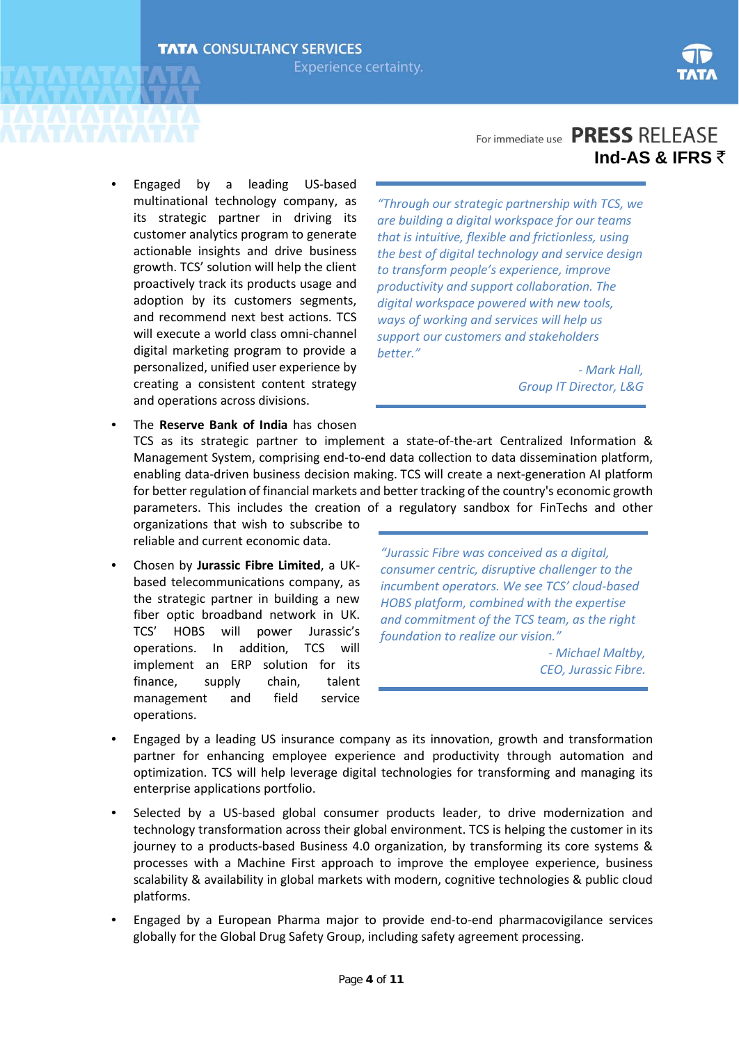

### • Engaged by a leading US-based multinational technology company, as its strategic partner in driving its customer analytics program to generate actionable insights and drive business growth. TCS' solution will help the client proactively track its products usage and adoption by its customers segments, and recommend next best actions. TCS will execute a world class omni-channel digital marketing program to provide a personalized, unified user experience by creating a consistent content strategy and operations across divisions.

### For immediate use **PRESS** RELEASE **Ind-AS & IFRS** `

*"Through our strategic partnership with TCS, we are building a digital workspace for our teams that is intuitive, flexible and frictionless, using the best of digital technology and service design to transform people's experience, improve productivity and support collaboration. The digital workspace powered with new tools, ways of working and services will help us support our customers and stakeholders better."*

> *- Mark Hall, Group IT Director, L&G*

• The **Reserve Bank of India** has chosen TCS as its strategic partner to implement a state-of-the-art Centralized Information & Management System, comprising end-to-end data collection to data dissemination platform, enabling data-driven business decision making. TCS will create a next-generation AI platform for better regulation of financial markets and better tracking of the country's economic growth parameters. This includes the creation of a regulatory sandbox for FinTechs and other organizations that wish to subscribe to

reliable and current economic data.

• Chosen by **Jurassic Fibre Limited**, a UKbased telecommunications company, as the strategic partner in building a new fiber optic broadband network in UK. TCS' HOBS will power Jurassic's operations. In addition, TCS will implement an ERP solution for its finance, supply chain, talent management and field service operations.

*"Jurassic Fibre was conceived as a digital, consumer centric, disruptive challenger to the incumbent operators. We see TCS' cloud-based HOBS platform, combined with the expertise and commitment of the TCS team, as the right foundation to realize our vision."* 

> *- Michael Maltby, CEO, Jurassic Fibre.*

- Engaged by a leading US insurance company as its innovation, growth and transformation partner for enhancing employee experience and productivity through automation and optimization. TCS will help leverage digital technologies for transforming and managing its enterprise applications portfolio.
- Selected by a US-based global consumer products leader, to drive modernization and technology transformation across their global environment. TCS is helping the customer in its journey to a products-based Business 4.0 organization, by transforming its core systems & processes with a Machine First approach to improve the employee experience, business scalability & availability in global markets with modern, cognitive technologies & public cloud platforms.
- Engaged by a European Pharma major to provide end-to-end pharmacovigilance services globally for the Global Drug Safety Group, including safety agreement processing.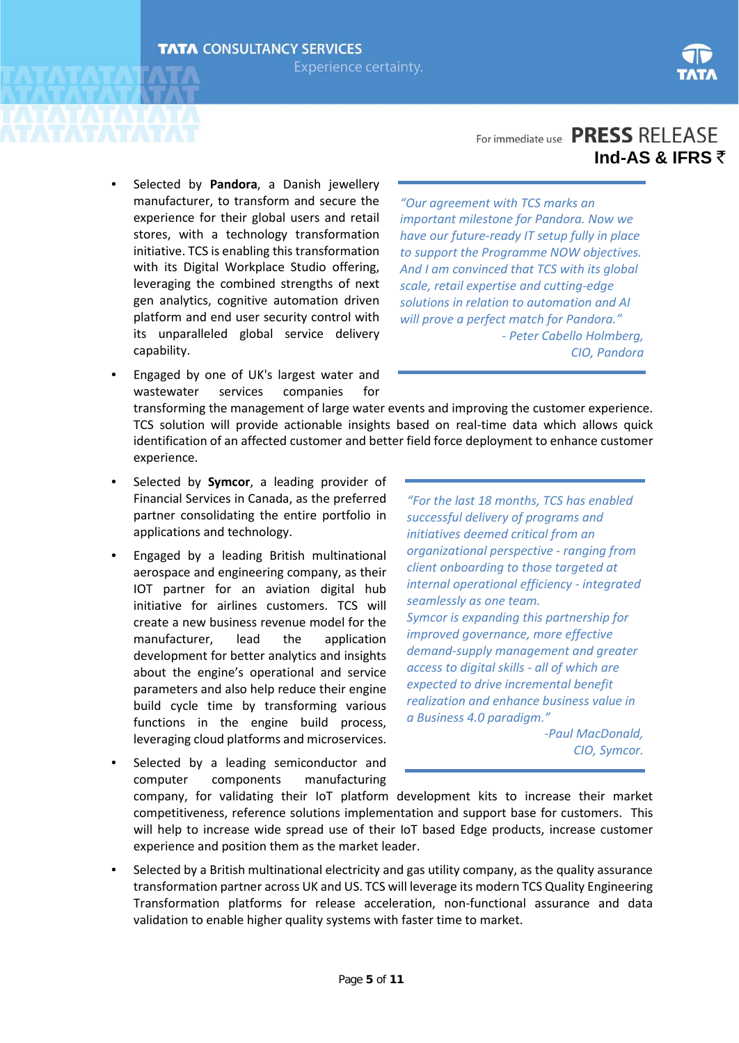

### • Selected by **Pandora**, a Danish jewellery manufacturer, to transform and secure the experience for their global users and retail stores, with a technology transformation initiative. TCS is enabling this transformation with its Digital Workplace Studio offering, leveraging the combined strengths of next gen analytics, cognitive automation driven platform and end user security control with its unparalleled global service delivery capability.

• Engaged by one of UK's largest water and wastewater services companies for

### For immediate use **PRESS** RELEASE **Ind-AS & IFRS** `

*"Our agreement with TCS marks an important milestone for Pandora. Now we have our future-ready IT setup fully in place to support the Programme NOW objectives. And I am convinced that TCS with its global scale, retail expertise and cutting-edge solutions in relation to automation and AI will prove a perfect match for Pandora." - Peter Cabello Holmberg, CIO, Pandora*

transforming the management of large water events and improving the customer experience. TCS solution will provide actionable insights based on real-time data which allows quick identification of an affected customer and better field force deployment to enhance customer experience.

- Selected by **Symcor**, a leading provider of Financial Services in Canada, as the preferred partner consolidating the entire portfolio in applications and technology.
- Engaged by a leading British multinational aerospace and engineering company, as their IOT partner for an aviation digital hub initiative for airlines customers. TCS will create a new business revenue model for the manufacturer, lead the application development for better analytics and insights about the engine's operational and service parameters and also help reduce their engine build cycle time by transforming various functions in the engine build process, leveraging cloud platforms and microservices.
- Selected by a leading semiconductor and computer components manufacturing

*"For the last 18 months, TCS has enabled successful delivery of programs and initiatives deemed critical from an organizational perspective - ranging from client onboarding to those targeted at internal operational efficiency - integrated seamlessly as one team. Symcor is expanding this partnership for improved governance, more effective demand-supply management and greater access to digital skills - all of which are expected to drive incremental benefit realization and enhance business value in a Business 4.0 paradigm."*

*-Paul MacDonald, CIO, Symcor.*

company, for validating their IoT platform development kits to increase their market competitiveness, reference solutions implementation and support base for customers. This will help to increase wide spread use of their IoT based Edge products, increase customer experience and position them as the market leader.

• Selected by a British multinational electricity and gas utility company, as the quality assurance transformation partner across UK and US. TCS will leverage its modern TCS Quality Engineering Transformation platforms for release acceleration, non-functional assurance and data validation to enable higher quality systems with faster time to market.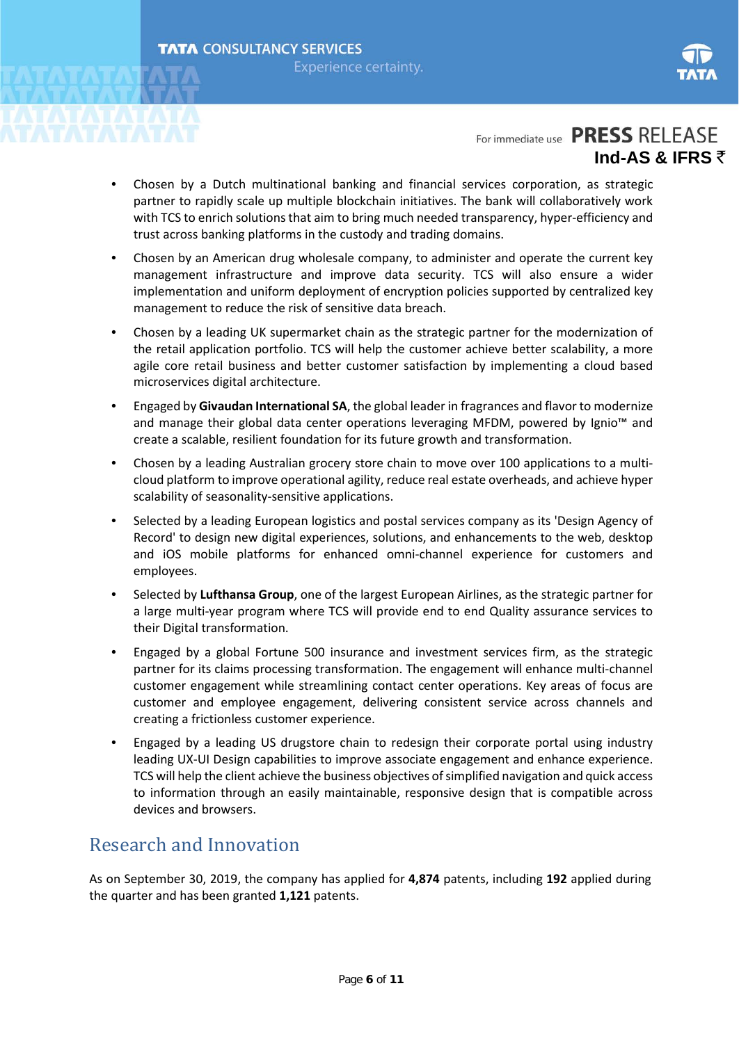

- Chosen by a Dutch multinational banking and financial services corporation, as strategic partner to rapidly scale up multiple blockchain initiatives. The bank will collaboratively work with TCS to enrich solutions that aim to bring much needed transparency, hyper-efficiency and trust across banking platforms in the custody and trading domains.
- Chosen by an American drug wholesale company, to administer and operate the current key management infrastructure and improve data security. TCS will also ensure a wider implementation and uniform deployment of encryption policies supported by centralized key management to reduce the risk of sensitive data breach.
- Chosen by a leading UK supermarket chain as the strategic partner for the modernization of the retail application portfolio. TCS will help the customer achieve better scalability, a more agile core retail business and better customer satisfaction by implementing a cloud based microservices digital architecture.
- Engaged by **Givaudan International SA**, the global leader in fragrances and flavor to modernize and manage their global data center operations leveraging MFDM, powered by Ignio™ and create a scalable, resilient foundation for its future growth and transformation.
- Chosen by a leading Australian grocery store chain to move over 100 applications to a multicloud platform to improve operational agility, reduce real estate overheads, and achieve hyper scalability of seasonality-sensitive applications.
- Selected by a leading European logistics and postal services company as its 'Design Agency of Record' to design new digital experiences, solutions, and enhancements to the web, desktop and iOS mobile platforms for enhanced omni-channel experience for customers and employees.
- Selected by **Lufthansa Group**, one of the largest European Airlines, as the strategic partner for a large multi-year program where TCS will provide end to end Quality assurance services to their Digital transformation.
- Engaged by a global Fortune 500 insurance and investment services firm, as the strategic partner for its claims processing transformation. The engagement will enhance multi-channel customer engagement while streamlining contact center operations. Key areas of focus are customer and employee engagement, delivering consistent service across channels and creating a frictionless customer experience.
- Engaged by a leading US drugstore chain to redesign their corporate portal using industry leading UX-UI Design capabilities to improve associate engagement and enhance experience. TCS will help the client achieve the business objectives of simplified navigation and quick access to information through an easily maintainable, responsive design that is compatible across devices and browsers.

### Research and Innovation

As on September 30, 2019, the company has applied for **4,874** patents, including **192** applied during the quarter and has been granted **1,121** patents.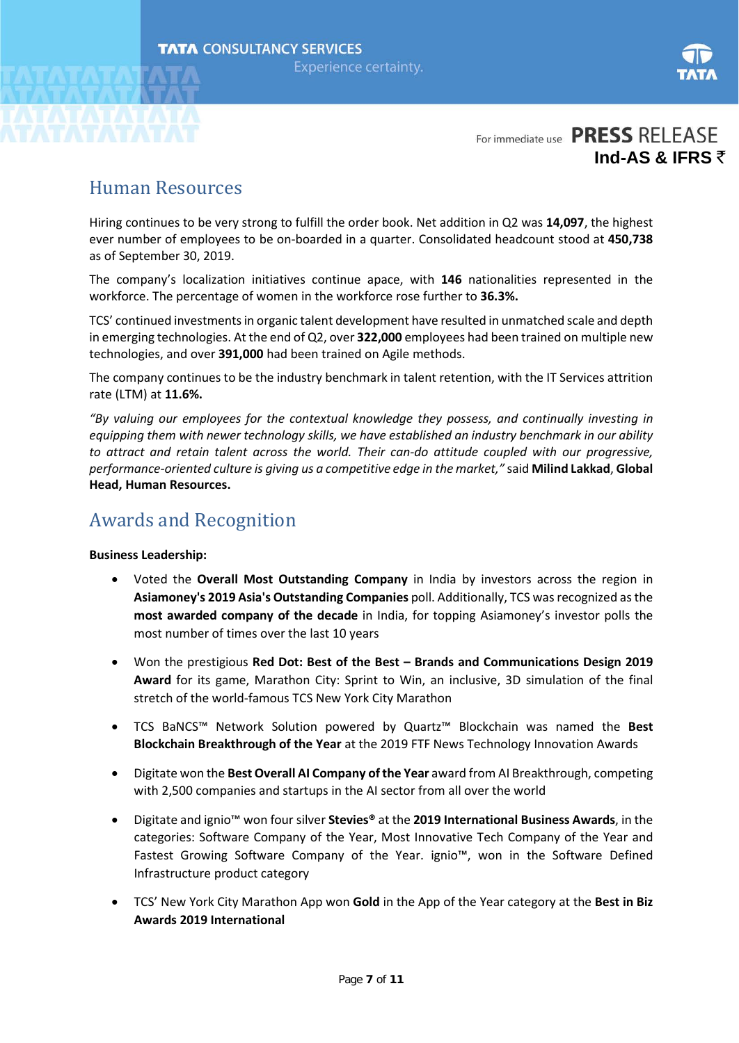

## Human Resources

Hiring continues to be very strong to fulfill the order book. Net addition in Q2 was **14,097**, the highest ever number of employees to be on-boarded in a quarter. Consolidated headcount stood at **450,738** as of September 30, 2019.

The company's localization initiatives continue apace, with **146** nationalities represented in the workforce. The percentage of women in the workforce rose further to **36.3%.** 

TCS' continued investments in organic talent development have resulted in unmatched scale and depth in emerging technologies. At the end of Q2, over **322,000** employees had been trained on multiple new technologies, and over **391,000** had been trained on Agile methods.

The company continues to be the industry benchmark in talent retention, with the IT Services attrition rate (LTM) at **11.6%.**

*"By valuing our employees for the contextual knowledge they possess, and continually investing in equipping them with newer technology skills, we have established an industry benchmark in our ability to attract and retain talent across the world. Their can-do attitude coupled with our progressive, performance-oriented culture is giving us a competitive edge in the market,"* said **Milind Lakkad**, **Global Head, Human Resources.** 

### Awards and Recognition

### **Business Leadership:**

- Voted the **Overall Most Outstanding Company** in India by investors across the region in **Asiamoney's 2019 Asia's Outstanding Companies** poll. Additionally, TCS was recognized as the **most awarded company of the decade** in India, for topping Asiamoney's investor polls the most number of times over the last 10 years
- Won the prestigious **Red Dot: Best of the Best – Brands and Communications Design 2019 Award** for its game, Marathon City: Sprint to Win, an inclusive, 3D simulation of the final stretch of the world-famous TCS New York City Marathon
- TCS BaNCS™ Network Solution powered by Quartz™ Blockchain was named the **Best Blockchain Breakthrough of the Year** at the 2019 FTF News Technology Innovation Awards
- Digitate won the **Best Overall AI Company of the Year** award from AI Breakthrough, competing with 2,500 companies and startups in the AI sector from all over the world
- Digitate and ignio™ won four silver **Stevies®** at the **2019 International Business Awards**, in the categories: Software Company of the Year, Most Innovative Tech Company of the Year and Fastest Growing Software Company of the Year. ignio™, won in the Software Defined Infrastructure product category
- TCS' New York City Marathon App won **Gold** in the App of the Year category at the **Best in Biz Awards 2019 International**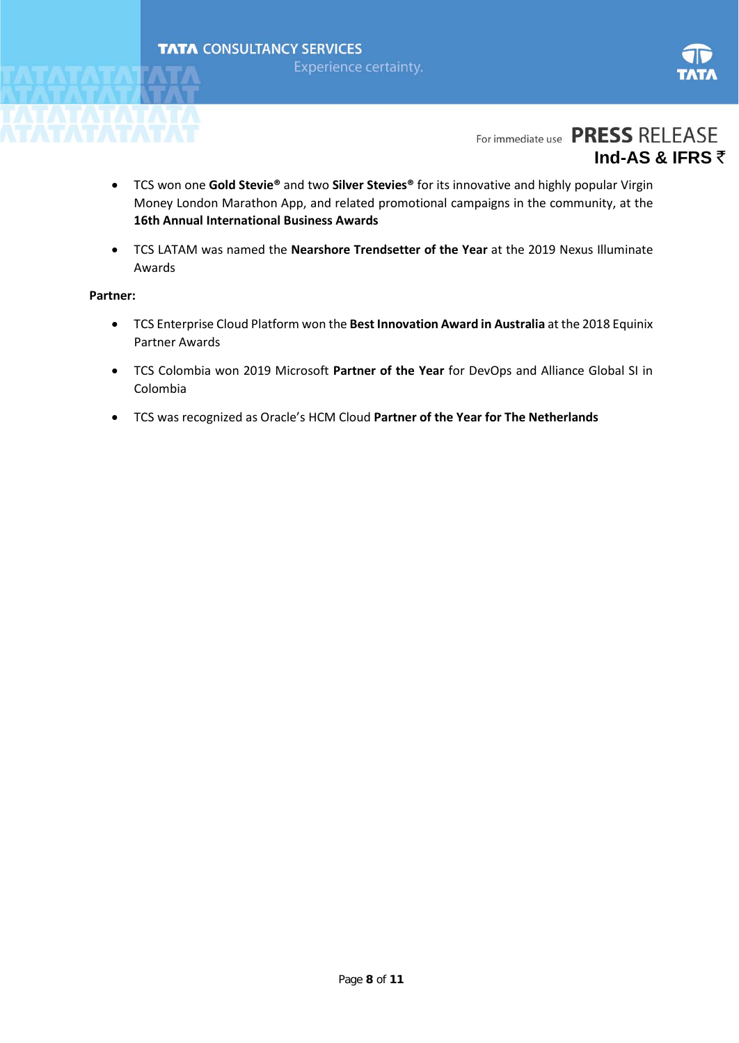



- TCS won one **Gold Stevie®** and two **Silver Stevies®** for its innovative and highly popular Virgin Money London Marathon App, and related promotional campaigns in the community, at the **16th Annual International Business Awards**
- TCS LATAM was named the **Nearshore Trendsetter of the Year** at the 2019 Nexus Illuminate Awards

#### **Partner:**

- TCS Enterprise Cloud Platform won the **Best Innovation Award in Australia** at the 2018 Equinix Partner Awards
- TCS Colombia won 2019 Microsoft **Partner of the Year** for DevOps and Alliance Global SI in Colombia
- TCS was recognized as Oracle's HCM Cloud **Partner of the Year for The Netherlands**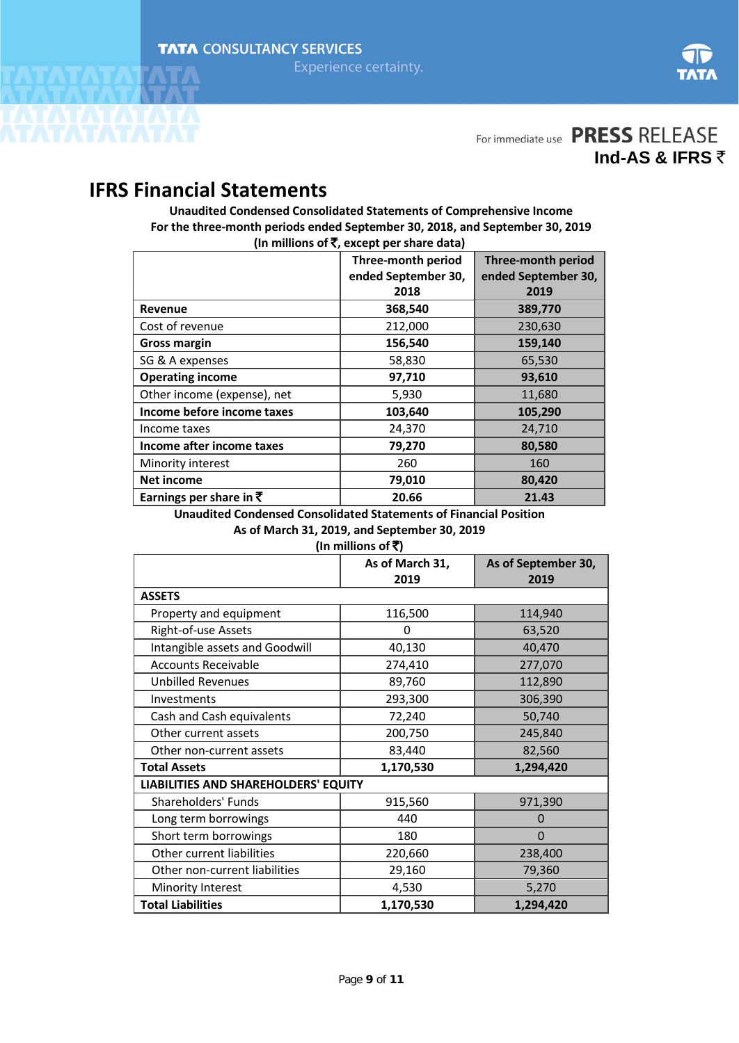

## **IFRS Financial Statements**

**Unaudited Condensed Consolidated Statements of Comprehensive Income For the three-month periods ended September 30, 2018, and September 30, 2019 (In millions of** `**, except per share data)**

|                                    | <b>Three-month period</b> | <b>Three-month period</b> |
|------------------------------------|---------------------------|---------------------------|
|                                    | ended September 30,       | ended September 30,       |
|                                    | 2018                      | 2019                      |
| Revenue                            | 368,540                   | 389,770                   |
| Cost of revenue                    | 212,000                   | 230,630                   |
| <b>Gross margin</b>                | 156,540                   | 159,140                   |
| SG & A expenses                    | 58,830                    | 65,530                    |
| <b>Operating income</b>            | 97,710                    | 93,610                    |
| Other income (expense), net        | 5,930                     | 11,680                    |
| Income before income taxes         | 103,640                   | 105,290                   |
| Income taxes                       | 24,370                    | 24,710                    |
| Income after income taxes          | 79,270                    | 80,580                    |
| Minority interest                  | 260                       | 160                       |
| <b>Net income</b>                  | 79,010                    | 80,420                    |
| Earnings per share in $\bar{\tau}$ | 20.66                     | 21.43                     |

**Unaudited Condensed Consolidated Statements of Financial Position As of March 31, 2019, and September 30, 2019**

| As of March 31, 2019, and September 30, 2019 |  |
|----------------------------------------------|--|
| (In millions of ₹)                           |  |

|                                      | As of March 31,<br>2019 | As of September 30,<br>2019 |  |
|--------------------------------------|-------------------------|-----------------------------|--|
| <b>ASSETS</b>                        |                         |                             |  |
| Property and equipment               | 116,500                 | 114,940                     |  |
| Right-of-use Assets                  | 0                       | 63,520                      |  |
| Intangible assets and Goodwill       | 40,130                  | 40,470                      |  |
| <b>Accounts Receivable</b>           | 274,410                 | 277,070                     |  |
| <b>Unbilled Revenues</b>             | 89,760                  | 112,890                     |  |
| Investments                          | 293,300                 | 306,390                     |  |
| Cash and Cash equivalents            | 72,240                  | 50,740                      |  |
| Other current assets                 | 200,750                 | 245,840                     |  |
| Other non-current assets             | 83,440                  | 82,560                      |  |
| <b>Total Assets</b>                  | 1,170,530               | 1,294,420                   |  |
| LIABILITIES AND SHAREHOLDERS' EQUITY |                         |                             |  |
| Shareholders' Funds                  | 915,560                 | 971,390                     |  |
| Long term borrowings                 | 440                     | 0                           |  |
| Short term borrowings                | 180                     | $\mathbf{0}$                |  |
| Other current liabilities            | 220,660                 | 238,400                     |  |
| Other non-current liabilities        | 29,160                  | 79,360                      |  |
| Minority Interest                    | 4,530                   | 5,270                       |  |
| <b>Total Liabilities</b>             | 1,170,530               | 1,294,420                   |  |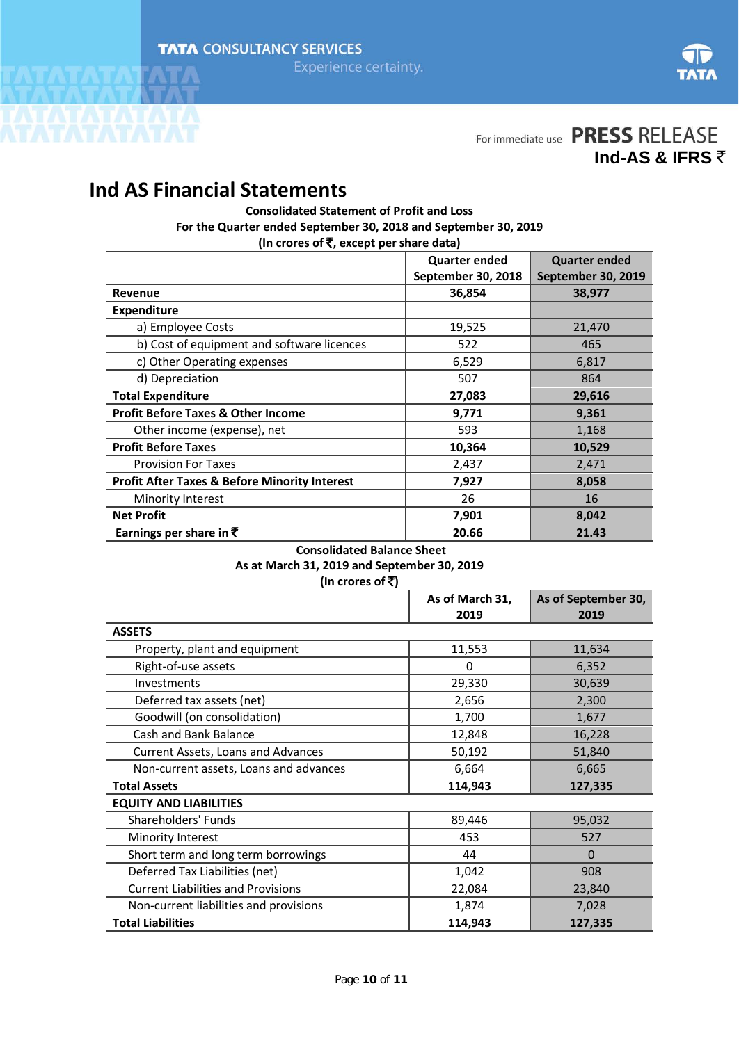

For immediate use PRESS RELEASE

**Ind-AS & IFRS** `

# **Ind AS Financial Statements**

**Consolidated Statement of Profit and Loss For the Quarter ended September 30, 2018 and September 30, 2019 (In crores of** `**, except per share data)**

|                                                          | <b>Quarter ended</b> | <b>Quarter ended</b> |
|----------------------------------------------------------|----------------------|----------------------|
|                                                          | September 30, 2018   | September 30, 2019   |
| Revenue                                                  | 36,854               | 38,977               |
| <b>Expenditure</b>                                       |                      |                      |
| a) Employee Costs                                        | 19,525               | 21,470               |
| b) Cost of equipment and software licences               | 522                  | 465                  |
| c) Other Operating expenses                              | 6,529                | 6,817                |
| d) Depreciation                                          | 507                  | 864                  |
| <b>Total Expenditure</b>                                 | 27,083               | 29,616               |
| <b>Profit Before Taxes &amp; Other Income</b>            | 9,771                | 9,361                |
| Other income (expense), net                              | 593                  | 1,168                |
| <b>Profit Before Taxes</b>                               | 10,364               | 10,529               |
| <b>Provision For Taxes</b>                               | 2,437                | 2,471                |
| <b>Profit After Taxes &amp; Before Minority Interest</b> | 7,927                | 8,058                |
| Minority Interest                                        | 26                   | 16                   |
| <b>Net Profit</b>                                        | 7,901                | 8,042                |
| Earnings per share in $\bar{\tau}$                       | 20.66                | 21.43                |

#### **Consolidated Balance Sheet**

#### **As at March 31, 2019 and September 30, 2019**  $\frac{1}{\sqrt{5}}$

| (In crores of <b>x</b> )                  |                 |                     |
|-------------------------------------------|-----------------|---------------------|
|                                           | As of March 31, | As of September 30, |
|                                           | 2019            | 2019                |
| <b>ASSETS</b>                             |                 |                     |
| Property, plant and equipment             | 11,553          | 11,634              |
| Right-of-use assets                       | 0               | 6,352               |
| <b>Investments</b>                        | 29,330          | 30,639              |
| Deferred tax assets (net)                 | 2,656           | 2,300               |
| Goodwill (on consolidation)               | 1,700           | 1,677               |
| Cash and Bank Balance                     | 12,848          | 16,228              |
| Current Assets, Loans and Advances        | 50,192          | 51,840              |
| Non-current assets, Loans and advances    | 6,664           | 6,665               |
| <b>Total Assets</b>                       | 114,943         | 127,335             |
| <b>EQUITY AND LIABILITIES</b>             |                 |                     |
| Shareholders' Funds                       | 89,446          | 95,032              |
| Minority Interest                         | 453             | 527                 |
| Short term and long term borrowings       | 44              | $\Omega$            |
| Deferred Tax Liabilities (net)            | 1,042           | 908                 |
| <b>Current Liabilities and Provisions</b> | 22,084          | 23,840              |
| Non-current liabilities and provisions    | 1,874           | 7,028               |
| <b>Total Liabilities</b>                  | 114,943         | 127,335             |